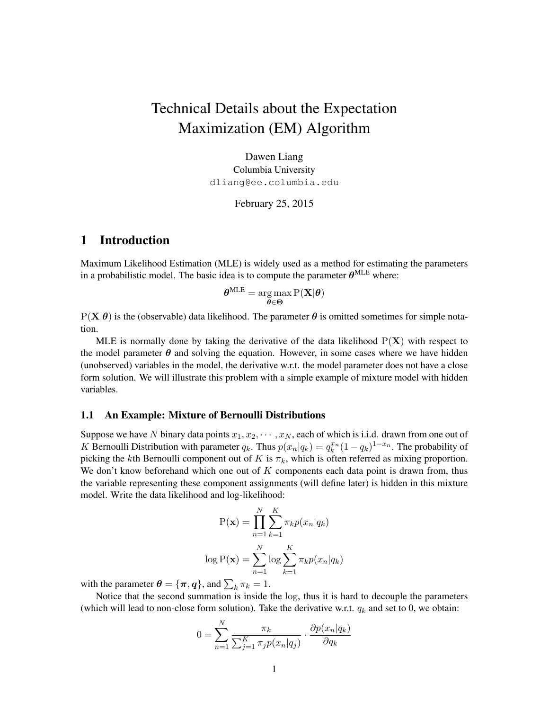# Technical Details about the Expectation Maximization (EM) Algorithm

Dawen Liang Columbia University dliang@ee.columbia.edu

February 25, 2015

### 1 Introduction

Maximum Likelihood Estimation (MLE) is widely used as a method for estimating the parameters in a probabilistic model. The basic idea is to compute the parameter  $\theta^{\text{MLE}}$  where:

$$
\boldsymbol{\theta}^{\text{MLE}} = \argmax_{\boldsymbol{\theta} \in \boldsymbol{\Theta}} \text{P}(\mathbf{X}|\boldsymbol{\theta})
$$

 $P(X|\theta)$  is the (observable) data likelihood. The parameter  $\theta$  is omitted sometimes for simple notation.

MLE is normally done by taking the derivative of the data likelihood  $P(X)$  with respect to the model parameter  $\theta$  and solving the equation. However, in some cases where we have hidden (unobserved) variables in the model, the derivative w.r.t. the model parameter does not have a close form solution. We will illustrate this problem with a simple example of mixture model with hidden variables.

#### 1.1 An Example: Mixture of Bernoulli Distributions

Suppose we have N binary data points  $x_1, x_2, \dots, x_N$ , each of which is i.i.d. drawn from one out of K Bernoulli Distribution with parameter  $q_k$ . Thus  $p(x_n|q_k) = q_k^{x_n}(1-q_k)^{1-x_n}$ . The probability of picking the kth Bernoulli component out of K is  $\pi_k$ , which is often referred as mixing proportion. We don't know beforehand which one out of  $K$  components each data point is drawn from, thus the variable representing these component assignments (will define later) is hidden in this mixture model. Write the data likelihood and log-likelihood:

$$
P(\mathbf{x}) = \prod_{n=1}^{N} \sum_{k=1}^{K} \pi_k p(x_n | q_k)
$$

$$
\log P(\mathbf{x}) = \sum_{n=1}^{N} \log \sum_{k=1}^{K} \pi_k p(x_n | q_k)
$$

with the parameter  $\boldsymbol{\theta} = {\pi, \boldsymbol{q}}$ , and  $\sum_k \pi_k = 1$ .

N

Notice that the second summation is inside the log, thus it is hard to decouple the parameters (which will lead to non-close form solution). Take the derivative w.r.t.  $q_k$  and set to 0, we obtain:

$$
0 = \sum_{n=1}^{N} \frac{\pi_k}{\sum_{j=1}^{K} \pi_j p(x_n|q_j)} \cdot \frac{\partial p(x_n|q_k)}{\partial q_k}
$$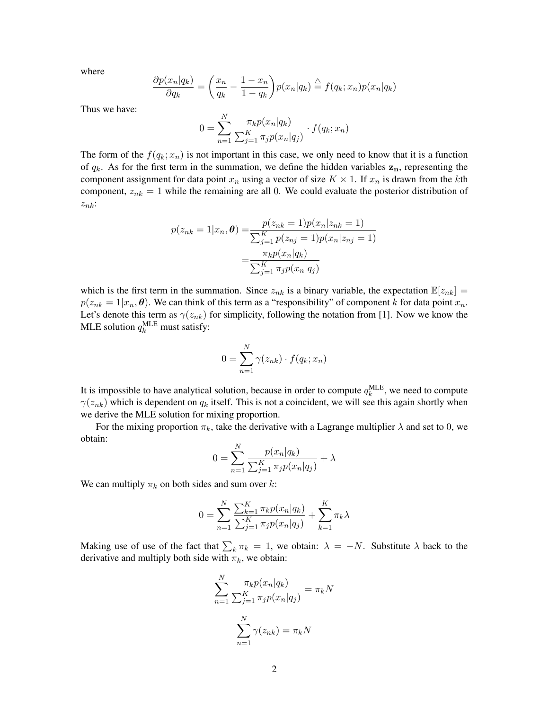where

$$
\frac{\partial p(x_n|q_k)}{\partial q_k} = \left(\frac{x_n}{q_k} - \frac{1 - x_n}{1 - q_k}\right) p(x_n|q_k) \stackrel{\triangle}{=} f(q_k; x_n) p(x_n|q_k)
$$

Thus we have:

$$
0 = \sum_{n=1}^{N} \frac{\pi_k p(x_n|q_k)}{\sum_{j=1}^{K} \pi_j p(x_n|q_j)} \cdot f(q_k; x_n)
$$

The form of the  $f(q_k; x_n)$  is not important in this case, we only need to know that it is a function of  $q_k$ . As for the first term in the summation, we define the hidden variables  $z_n$ , representing the component assignment for data point  $x_n$  using a vector of size  $K \times 1$ . If  $x_n$  is drawn from the kth component,  $z_{nk} = 1$  while the remaining are all 0. We could evaluate the posterior distribution of  $z_{nk}$ :

$$
p(z_{nk} = 1 | x_n, \theta) = \frac{p(z_{nk} = 1)p(x_n | z_{nk} = 1)}{\sum_{j=1}^{K} p(z_{nj} = 1)p(x_n | z_{nj} = 1)}
$$

$$
= \frac{\pi_k p(x_n | q_k)}{\sum_{j=1}^{K} \pi_j p(x_n | q_j)}
$$

which is the first term in the summation. Since  $z_{nk}$  is a binary variable, the expectation  $\mathbb{E}[z_{nk}] =$  $p(z_{nk} = 1 | x_n, \theta)$ . We can think of this term as a "responsibility" of component k for data point  $x_n$ . Let's denote this term as  $\gamma(z_{nk})$  for simplicity, following the notation from [1]. Now we know the MLE solution  $q_k^{\text{MLE}}$  must satisfy:

$$
0 = \sum_{n=1}^{N} \gamma(z_{nk}) \cdot f(q_k; x_n)
$$

It is impossible to have analytical solution, because in order to compute  $q_k^{\text{MLE}}$ , we need to compute  $\gamma(z_{nk})$  which is dependent on  $q_k$  itself. This is not a coincident, we will see this again shortly when we derive the MLE solution for mixing proportion.

For the mixing proportion  $\pi_k$ , take the derivative with a Lagrange multiplier  $\lambda$  and set to 0, we obtain:

$$
0 = \sum_{n=1}^{N} \frac{p(x_n|q_k)}{\sum_{j=1}^{K} \pi_j p(x_n|q_j)} + \lambda
$$

We can multiply  $\pi_k$  on both sides and sum over k:

$$
0 = \sum_{n=1}^{N} \frac{\sum_{k=1}^{K} \pi_k p(x_n | q_k)}{\sum_{j=1}^{K} \pi_j p(x_n | q_j)} + \sum_{k=1}^{K} \pi_k \lambda
$$

Making use of use of the fact that  $\sum_k \pi_k = 1$ , we obtain:  $\lambda = -N$ . Substitute  $\lambda$  back to the derivative and multiply both side with  $\pi_k$ , we obtain:

$$
\sum_{n=1}^{N} \frac{\pi_k p(x_n|q_k)}{\sum_{j=1}^{K} \pi_j p(x_n|q_j)} = \pi_k N
$$

$$
\sum_{n=1}^{N} \gamma(z_{nk}) = \pi_k N
$$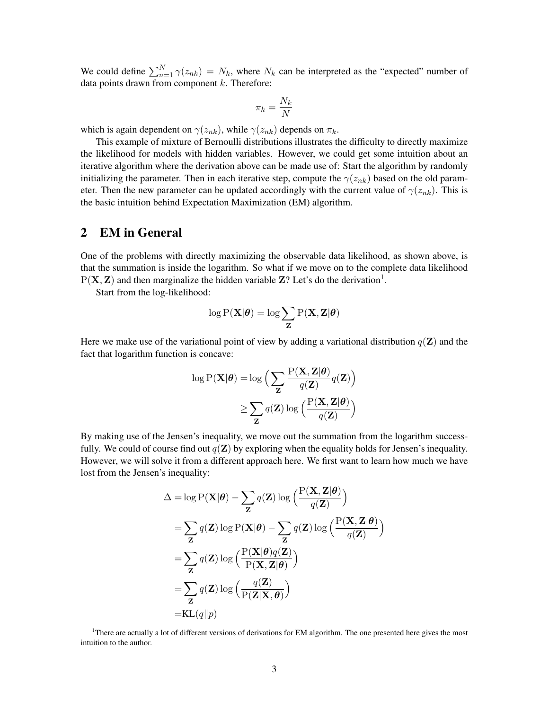We could define  $\sum_{n=1}^{N} \gamma(z_{nk}) = N_k$ , where  $N_k$  can be interpreted as the "expected" number of data points drawn from component  $k$ . Therefore:

$$
\pi_k = \frac{N_k}{N}
$$

which is again dependent on  $\gamma(z_{nk})$ , while  $\gamma(z_{nk})$  depends on  $\pi_k$ .

This example of mixture of Bernoulli distributions illustrates the difficulty to directly maximize the likelihood for models with hidden variables. However, we could get some intuition about an iterative algorithm where the derivation above can be made use of: Start the algorithm by randomly initializing the parameter. Then in each iterative step, compute the  $\gamma(z_{nk})$  based on the old parameter. Then the new parameter can be updated accordingly with the current value of  $\gamma(z_{nk})$ . This is the basic intuition behind Expectation Maximization (EM) algorithm.

### 2 EM in General

One of the problems with directly maximizing the observable data likelihood, as shown above, is that the summation is inside the logarithm. So what if we move on to the complete data likelihood  $P(X, Z)$  and then marginalize the hidden variable Z? Let's do the derivation<sup>1</sup>.

Start from the log-likelihood:

$$
\log \mathrm{P}(\mathbf{X}|\boldsymbol{\theta}) = \log \sum_{\mathbf{Z}} \mathrm{P}(\mathbf{X}, \mathbf{Z} | \boldsymbol{\theta})
$$

Here we make use of the variational point of view by adding a variational distribution  $q(\mathbf{Z})$  and the fact that logarithm function is concave:

$$
\log P(\mathbf{X}|\boldsymbol{\theta}) = \log \Big( \sum_{\mathbf{Z}} \frac{P(\mathbf{X}, \mathbf{Z}|\boldsymbol{\theta})}{q(\mathbf{Z})} q(\mathbf{Z}) \Big) \n\geq \sum_{\mathbf{Z}} q(\mathbf{Z}) \log \Big( \frac{P(\mathbf{X}, \mathbf{Z}|\boldsymbol{\theta})}{q(\mathbf{Z})} \Big)
$$

By making use of the Jensen's inequality, we move out the summation from the logarithm successfully. We could of course find out  $q(\mathbf{Z})$  by exploring when the equality holds for Jensen's inequality. However, we will solve it from a different approach here. We first want to learn how much we have lost from the Jensen's inequality:

$$
\Delta = \log P(\mathbf{X}|\boldsymbol{\theta}) - \sum_{\mathbf{Z}} q(\mathbf{Z}) \log \left( \frac{P(\mathbf{X}, \mathbf{Z}|\boldsymbol{\theta})}{q(\mathbf{Z})} \right)
$$
  
\n
$$
= \sum_{\mathbf{Z}} q(\mathbf{Z}) \log P(\mathbf{X}|\boldsymbol{\theta}) - \sum_{\mathbf{Z}} q(\mathbf{Z}) \log \left( \frac{P(\mathbf{X}, \mathbf{Z}|\boldsymbol{\theta})}{q(\mathbf{Z})} \right)
$$
  
\n
$$
= \sum_{\mathbf{Z}} q(\mathbf{Z}) \log \left( \frac{P(\mathbf{X}|\boldsymbol{\theta})q(\mathbf{Z})}{P(\mathbf{X}, \mathbf{Z}|\boldsymbol{\theta})} \right)
$$
  
\n
$$
= \sum_{\mathbf{Z}} q(\mathbf{Z}) \log \left( \frac{q(\mathbf{Z})}{P(\mathbf{Z}|\mathbf{X}, \boldsymbol{\theta})} \right)
$$
  
\n
$$
= KL(q||p)
$$

<sup>&</sup>lt;sup>1</sup>There are actually a lot of different versions of derivations for EM algorithm. The one presented here gives the most intuition to the author.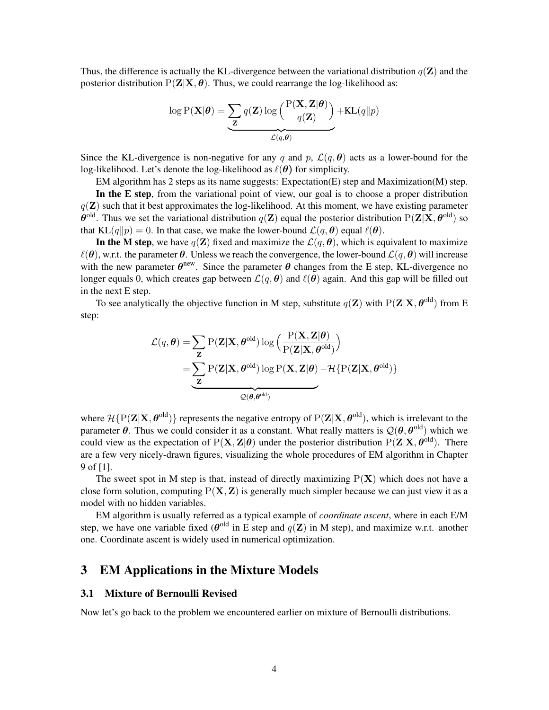Thus, the difference is actually the KL-divergence between the variational distribution  $q(\mathbf{Z})$  and the posterior distribution  $P(Z|X, \theta)$ . Thus, we could rearrange the log-likelihood as:

$$
\log P(\mathbf{X}|\boldsymbol{\theta}) = \underbrace{\sum_{\mathbf{Z}} q(\mathbf{Z}) \log \left( \frac{P(\mathbf{X}, \mathbf{Z}|\boldsymbol{\theta})}{q(\mathbf{Z})} \right)}_{\mathcal{L}(q, \boldsymbol{\theta})} + \text{KL}(q||p)
$$

Since the KL-divergence is non-negative for any q and p,  $\mathcal{L}(q, \theta)$  acts as a lower-bound for the log-likelihood. Let's denote the log-likelihood as  $\ell(\theta)$  for simplicity.

EM algorithm has 2 steps as its name suggests: Expectation(E) step and Maximization(M) step.

In the E step, from the variational point of view, our goal is to choose a proper distribution  $q(\mathbf{Z})$  such that it best approximates the log-likelihood. At this moment, we have existing parameter  $\theta^{old}$ . Thus we set the variational distribution  $q(\mathbf{Z})$  equal the posterior distribution  $P(\mathbf{Z}|\mathbf{X},\theta^{old})$  so that KL(q||p) = 0. In that case, we make the lower-bound  $\mathcal{L}(q, \theta)$  equal  $\ell(\theta)$ .

In the M step, we have  $q(\mathbf{Z})$  fixed and maximize the  $\mathcal{L}(q, \theta)$ , which is equivalent to maximize  $\ell(\theta)$ , w.r.t. the parameter  $\theta$ . Unless we reach the convergence, the lower-bound  $\mathcal{L}(q, \theta)$  will increase with the new parameter  $\theta^{new}$ . Since the parameter  $\theta$  changes from the E step, KL-divergence no longer equals 0, which creates gap between  $\mathcal{L}(q, \theta)$  and  $\ell(\theta)$  again. And this gap will be filled out in the next E step.

To see analytically the objective function in M step, substitute  $q(\mathbf{Z})$  with  $P(\mathbf{Z}|\mathbf{X}, \boldsymbol{\theta}^{\text{old}})$  from E step:

$$
\mathcal{L}(q, \theta) = \sum_{\mathbf{Z}} P(\mathbf{Z} | \mathbf{X}, \theta^{\text{old}}) \log \left( \frac{P(\mathbf{X}, \mathbf{Z} | \theta)}{P(\mathbf{Z} | \mathbf{X}, \theta^{\text{old}})} \right)
$$

$$
= \sum_{\mathbf{Z}} P(\mathbf{Z} | \mathbf{X}, \theta^{\text{old}}) \log P(\mathbf{X}, \mathbf{Z} | \theta) - \mathcal{H} \{ P(\mathbf{Z} | \mathbf{X}, \theta^{\text{old}}) \}
$$

where  $\mathcal{H}\{P(\mathbf{Z}|\mathbf{X},\theta^{\text{old}})\}\)$  represents the negative entropy of  $P(\mathbf{Z}|\mathbf{X},\theta^{\text{old}})$ , which is irrelevant to the parameter  $\theta$ . Thus we could consider it as a constant. What really matters is  $\mathcal{Q}(\theta, \theta^{\text{old}})$  which we could view as the expectation of  $P(X, Z | \theta)$  under the posterior distribution  $P(Z | X, \theta^{\text{old}})$ . There are a few very nicely-drawn figures, visualizing the whole procedures of EM algorithm in Chapter 9 of [1].

The sweet spot in M step is that, instead of directly maximizing  $P(X)$  which does not have a close form solution, computing  $P(X, Z)$  is generally much simpler because we can just view it as a model with no hidden variables.

EM algorithm is usually referred as a typical example of *coordinate ascent*, where in each E/M step, we have one variable fixed ( $\theta^{old}$  in E step and  $q(\mathbf{Z})$  in M step), and maximize w.r.t. another one. Coordinate ascent is widely used in numerical optimization.

### 3 EM Applications in the Mixture Models

### 3.1 Mixture of Bernoulli Revised

Now let's go back to the problem we encountered earlier on mixture of Bernoulli distributions.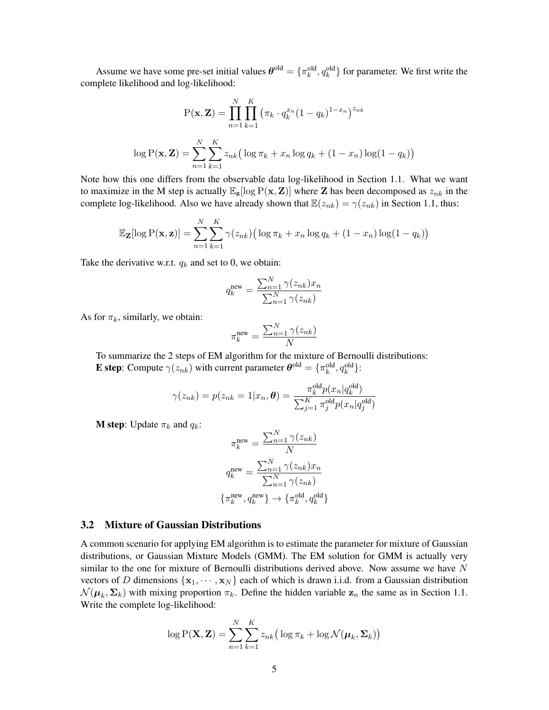Assume we have some pre-set initial values  $\theta^{old} = \{\pi_k^{old}, q_k^{old}\}\$  for parameter. We first write the complete likelihood and log-likelihood:

$$
P(\mathbf{x}, \mathbf{Z}) = \prod_{n=1}^{N} \prod_{k=1}^{K} (\pi_k \cdot q_k^{x_n} (1 - q_k)^{1 - x_n})^{z_{nk}}
$$

$$
\log P(\mathbf{x}, \mathbf{Z}) = \sum_{n=1}^{N} \sum_{k=1}^{K} z_{nk} (\log \pi_k + x_n \log q_k + (1 - x_n) \log(1 - q_k))
$$

Note how this one differs from the observable data log-likelihood in Section 1.1. What we want to maximize in the M step is actually  $\mathbb{E}_{z}[\log P(x, Z)]$  where Z has been decomposed as  $z_{nk}$  in the complete log-likelihood. Also we have already shown that  $\mathbb{E}(z_{nk}) = \gamma(z_{nk})$  in Section 1.1, thus:

$$
\mathbb{E}_{\mathbf{Z}}[\log P(\mathbf{x}, \mathbf{z})] = \sum_{n=1}^{N} \sum_{k=1}^{K} \gamma(z_{nk}) (\log \pi_k + x_n \log q_k + (1 - x_n) \log(1 - q_k))
$$

Take the derivative w.r.t.  $q_k$  and set to 0, we obtain:

$$
q_k^{\text{new}} = \frac{\sum_{n=1}^{N} \gamma(z_{nk}) x_n}{\sum_{n=1}^{N} \gamma(z_{nk})}
$$

As for  $\pi_k$ , similarly, we obtain:

$$
\pi_k^{\text{new}} = \frac{\sum_{n=1}^{N} \gamma(z_{nk})}{N}
$$

To summarize the 2 steps of EM algorithm for the mixture of Bernoulli distributions: **E** step: Compute  $\gamma(z_{nk})$  with current parameter  $\boldsymbol{\theta}^{\text{old}} = {\{\pi_k^{\text{old}}, q_k^{\text{old}}\}}$ :

$$
\gamma(z_{nk}) = p(z_{nk} = 1 | x_n, \boldsymbol{\theta}) = \frac{\pi_k^{\text{old}} p(x_n | q_k^{\text{old}})}{\sum_{j=1}^K \pi_j^{\text{old}} p(x_n | q_j^{\text{old}})}
$$

**M** step: Update  $\pi_k$  and  $q_k$ :

$$
\pi_k^{\text{new}} = \frac{\sum_{n=1}^{N} \gamma(z_{nk})}{N}
$$

$$
q_k^{\text{new}} = \frac{\sum_{n=1}^{N} \gamma(z_{nk}) x_n}{\sum_{n=1}^{N} \gamma(z_{nk})}
$$

$$
\{\pi_k^{\text{new}}, q_k^{\text{new}}\} \to \{\pi_k^{\text{old}}, q_k^{\text{old}}\}
$$

#### 3.2 Mixture of Gaussian Distributions

A common scenario for applying EM algorithm is to estimate the parameter for mixture of Gaussian distributions, or Gaussian Mixture Models (GMM). The EM solution for GMM is actually very similar to the one for mixture of Bernoulli distributions derived above. Now assume we have  $N$ vectors of D dimensions  $\{x_1, \dots, x_N\}$  each of which is drawn i.i.d. from a Gaussian distribution  $\mathcal{N}(\boldsymbol{\mu}_k, \boldsymbol{\Sigma}_k)$  with mixing proportion  $\pi_k$ . Define the hidden variable  $\mathbf{z}_n$  the same as in Section 1.1. Write the complete log-likelihood:

$$
\log P(\mathbf{X}, \mathbf{Z}) = \sum_{n=1}^{N} \sum_{k=1}^{K} z_{nk} \big( \log \pi_k + \log \mathcal{N}(\boldsymbol{\mu}_k, \boldsymbol{\Sigma}_k) \big)
$$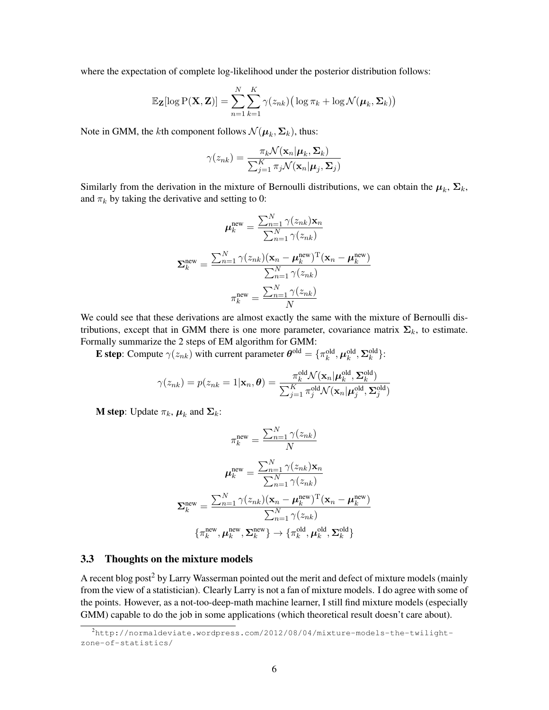where the expectation of complete log-likelihood under the posterior distribution follows:

$$
\mathbb{E}_{\mathbf{Z}}[\log P(\mathbf{X}, \mathbf{Z})] = \sum_{n=1}^{N} \sum_{k=1}^{K} \gamma(z_{nk}) (\log \pi_k + \log \mathcal{N}(\boldsymbol{\mu}_k, \boldsymbol{\Sigma}_k))
$$

Note in GMM, the *k*th component follows  $\mathcal{N}(\boldsymbol{\mu}_k, \boldsymbol{\Sigma}_k)$ , thus:

$$
\gamma(z_{nk}) = \frac{\pi_k \mathcal{N}(\mathbf{x}_n | \boldsymbol{\mu}_k, \boldsymbol{\Sigma}_k)}{\sum_{j=1}^K \pi_j \mathcal{N}(\mathbf{x}_n | \boldsymbol{\mu}_j, \boldsymbol{\Sigma}_j)}
$$

Similarly from the derivation in the mixture of Bernoulli distributions, we can obtain the  $\mu_k$ ,  $\Sigma_k$ , and  $\pi_k$  by taking the derivative and setting to 0:

$$
\mu_k^{\text{new}} = \frac{\sum_{n=1}^{N} \gamma(z_{nk}) \mathbf{x}_n}{\sum_{n=1}^{N} \gamma(z_{nk})}
$$

$$
\Sigma_k^{\text{new}} = \frac{\sum_{n=1}^{N} \gamma(z_{nk}) (\mathbf{x}_n - \mu_k^{\text{new}})^{\text{T}} (\mathbf{x}_n - \mu_k^{\text{new}})}{\sum_{n=1}^{N} \gamma(z_{nk})}
$$

$$
\pi_k^{\text{new}} = \frac{\sum_{n=1}^{N} \gamma(z_{nk})}{N}
$$

We could see that these derivations are almost exactly the same with the mixture of Bernoulli distributions, except that in GMM there is one more parameter, covariance matrix  $\Sigma_k$ , to estimate. Formally summarize the 2 steps of EM algorithm for GMM:

**E** step: Compute  $\gamma(z_{nk})$  with current parameter  $\boldsymbol{\theta}^{\text{old}} = \{\pi_k^{\text{old}}, \boldsymbol{\mu}_k^{\text{old}}, \boldsymbol{\Sigma}_k^{\text{old}}\}$ :

$$
\gamma(z_{nk}) = p(z_{nk} = 1 | \mathbf{x}_n, \boldsymbol{\theta}) = \frac{\pi_k^{\text{old}} \mathcal{N}(\mathbf{x}_n | \boldsymbol{\mu}_k^{\text{old}}, \boldsymbol{\Sigma}_k^{\text{old}})}{\sum_{j=1}^K \pi_j^{\text{old}} \mathcal{N}(\mathbf{x}_n | \boldsymbol{\mu}_j^{\text{old}}, \boldsymbol{\Sigma}_j^{\text{old}})}
$$

**M** step: Update  $\pi_k$ ,  $\boldsymbol{\mu}_k$  and  $\boldsymbol{\Sigma}_k$ :

$$
\pi_k^{\text{new}} = \frac{\sum_{n=1}^N \gamma(z_{nk})}{N}
$$

$$
\mu_k^{\text{new}} = \frac{\sum_{n=1}^N \gamma(z_{nk}) \mathbf{x}_n}{\sum_{n=1}^N \gamma(z_{nk})}
$$

$$
\Sigma_k^{\text{new}} = \frac{\sum_{n=1}^N \gamma(z_{nk}) (\mathbf{x}_n - \boldsymbol{\mu}_k^{\text{new}})^{\text{T}} (\mathbf{x}_n - \boldsymbol{\mu}_k^{\text{new}})}{\sum_{n=1}^N \gamma(z_{nk})}
$$

$$
\{\pi_k^{\text{new}}, \boldsymbol{\mu}_k^{\text{new}}, \boldsymbol{\Sigma}_k^{\text{new}}\} \rightarrow \{\pi_k^{\text{old}}, \boldsymbol{\mu}_k^{\text{old}}, \boldsymbol{\Sigma}_k^{\text{old}}\}
$$

### 3.3 Thoughts on the mixture models

A recent blog post<sup>2</sup> by Larry Wasserman pointed out the merit and defect of mixture models (mainly from the view of a statistician). Clearly Larry is not a fan of mixture models. I do agree with some of the points. However, as a not-too-deep-math machine learner, I still find mixture models (especially GMM) capable to do the job in some applications (which theoretical result doesn't care about).

<sup>2</sup>http://normaldeviate.wordpress.com/2012/08/04/mixture-models-the-twilightzone-of-statistics/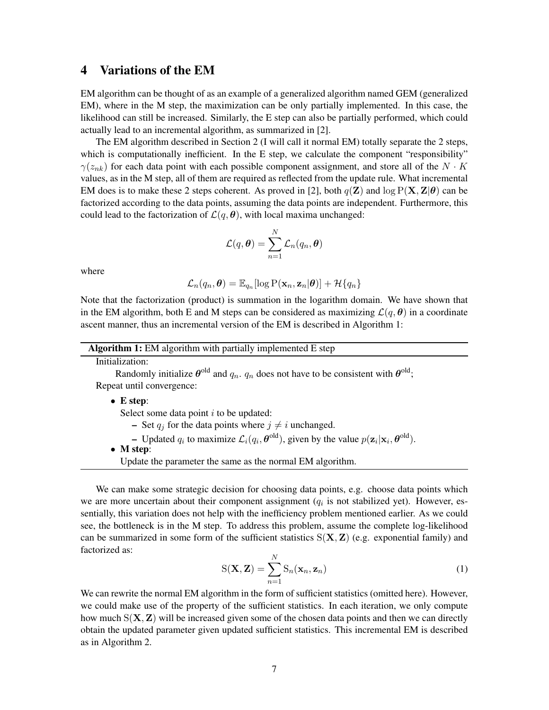### 4 Variations of the EM

EM algorithm can be thought of as an example of a generalized algorithm named GEM (generalized EM), where in the M step, the maximization can be only partially implemented. In this case, the likelihood can still be increased. Similarly, the E step can also be partially performed, which could actually lead to an incremental algorithm, as summarized in [2].

The EM algorithm described in Section 2 (I will call it normal EM) totally separate the 2 steps, which is computationally inefficient. In the E step, we calculate the component "responsibility"  $\gamma(z_{nk})$  for each data point with each possible component assignment, and store all of the  $N \cdot K$ values, as in the M step, all of them are required as reflected from the update rule. What incremental EM does is to make these 2 steps coherent. As proved in [2], both  $q(\mathbf{Z})$  and  $\log P(\mathbf{X}, \mathbf{Z}|\boldsymbol{\theta})$  can be factorized according to the data points, assuming the data points are independent. Furthermore, this could lead to the factorization of  $\mathcal{L}(q, \theta)$ , with local maxima unchanged:

$$
\mathcal{L}(q, \boldsymbol{\theta}) = \sum_{n=1}^N \mathcal{L}_n(q_n, \boldsymbol{\theta})
$$

where

$$
\mathcal{L}_n(q_n, \boldsymbol{\theta}) = \mathbb{E}_{q_n}[\log \mathrm{P}(\mathbf{x}_n, \mathbf{z}_n | \boldsymbol{\theta})] + \mathcal{H}\{q_n\}
$$

Note that the factorization (product) is summation in the logarithm domain. We have shown that in the EM algorithm, both E and M steps can be considered as maximizing  $\mathcal{L}(q, \theta)$  in a coordinate ascent manner, thus an incremental version of the EM is described in Algorithm 1:

Algorithm 1: EM algorithm with partially implemented E step

Initialization:

Randomly initialize  $\theta^{old}$  and  $q_n$ .  $q_n$  does not have to be consistent with  $\theta^{old}$ ; Repeat until convergence:

• E step:

Select some data point  $i$  to be updated:

- Set  $q_j$  for the data points where  $j \neq i$  unchanged.
- Updated  $q_i$  to maximize  $\mathcal{L}_i(q_i, \theta^{\text{old}})$ , given by the value  $p(\mathbf{z}_i | \mathbf{x}_i, \theta^{\text{old}})$ .
- M step:
	- Update the parameter the same as the normal EM algorithm.

We can make some strategic decision for choosing data points, e.g. choose data points which we are more uncertain about their component assignment  $(q<sub>i</sub>$  is not stabilized yet). However, essentially, this variation does not help with the inefficiency problem mentioned earlier. As we could see, the bottleneck is in the M step. To address this problem, assume the complete log-likelihood can be summarized in some form of the sufficient statistics  $S(X, Z)$  (e.g. exponential family) and factorized as:

$$
S(\mathbf{X}, \mathbf{Z}) = \sum_{n=1}^{N} S_n(\mathbf{x}_n, \mathbf{z}_n)
$$
 (1)

We can rewrite the normal EM algorithm in the form of sufficient statistics (omitted here). However, we could make use of the property of the sufficient statistics. In each iteration, we only compute how much  $S(X, Z)$  will be increased given some of the chosen data points and then we can directly obtain the updated parameter given updated sufficient statistics. This incremental EM is described as in Algorithm 2.